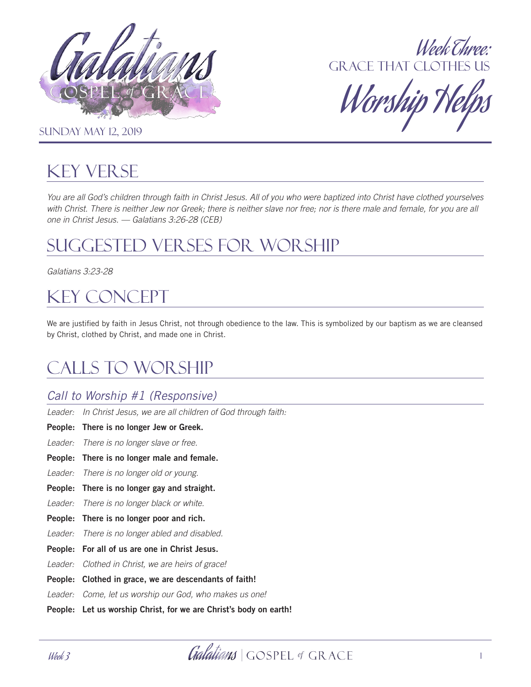



Worship T

**SUNDAY MAY 12, 2019** 

# Key Verse

*You are all God's children through faith in Christ Jesus. All of you who were baptized into Christ have clothed yourselves*  with Christ. There is neither Jew nor Greek; there is neither slave nor free; nor is there male and female, for you are all *one in Christ Jesus. — Galatians 3:26-28 (CEB)* 

# Suggested Verses for Worship

*Galatians 3:23-28*

# Key Concept

We are justified by faith in Jesus Christ, not through obedience to the law. This is symbolized by our baptism as we are cleansed by Christ, clothed by Christ, and made one in Christ.

# Calls to worship

## *Call to Worship #1 (Responsive)*

*Leader: In Christ Jesus, we are all children of God through faith:*

People: There is no longer Jew or Greek.

*Leader: There is no longer slave or free.*

- People: There is no longer male and female.
- *Leader: There is no longer old or young.*
- People: There is no longer gay and straight.
- *Leader: There is no longer black or white.*
- People: There is no longer poor and rich.
- *Leader: There is no longer abled and disabled.*
- People: For all of us are one in Christ Jesus.
- *Leader: Clothed in Christ, we are heirs of grace!*
- People: Clothed in grace, we are descendants of faith!

*Leader: Come, let us worship our God, who makes us one!*

People: Let us worship Christ, for we are Christ's body on earth!

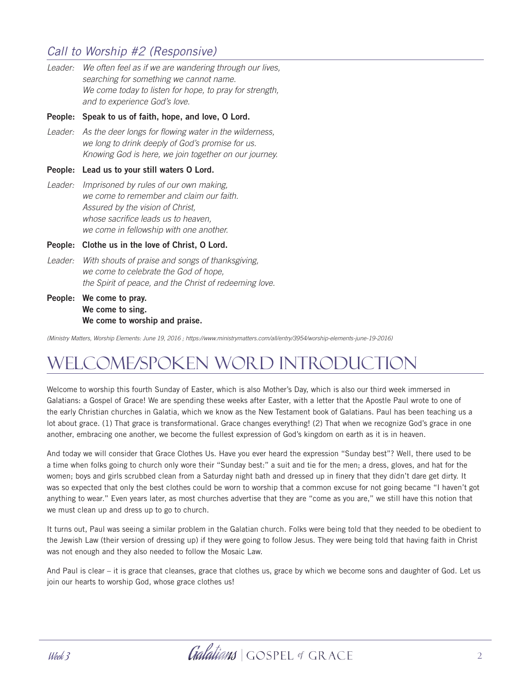## *Call to Worship #2 (Responsive)*

Leader: We often feel as if we are wandering through our lives, *searching for something we cannot name. We come today to listen for hope, to pray for strength, and to experience God's love.* 

#### People: Speak to us of faith, hope, and love, O Lord.

*Leader: As the deer longs for flowing water in the wilderness, we long to drink deeply of God's promise for us. Knowing God is here, we join together on our journey.* 

#### People: Lead us to your still waters O Lord.

*Leader: Imprisoned by rules of our own making, we come to remember and claim our faith. Assured by the vision of Christ, whose sacrifice leads us to heaven, we come in fellowship with one another.* 

People: Clothe us in the love of Christ, O Lord.

- *Leader: With shouts of praise and songs of thanksgiving, we come to celebrate the God of hope, the Spirit of peace, and the Christ of redeeming love.*
- People: We come to pray. We come to sing. We come to worship and praise.

*(Ministry Matters, Worship Elements: June 19, 2016 ; https://www.ministrymatters.com/all/entry/3954/worship-elements-june-19-2016)* 

# Welcome/Spoken Word Introduction

Welcome to worship this fourth Sunday of Easter, which is also Mother's Day, which is also our third week immersed in Galatians: a Gospel of Grace! We are spending these weeks after Easter, with a letter that the Apostle Paul wrote to one of the early Christian churches in Galatia, which we know as the New Testament book of Galatians. Paul has been teaching us a lot about grace. (1) That grace is transformational. Grace changes everything! (2) That when we recognize God's grace in one another, embracing one another, we become the fullest expression of God's kingdom on earth as it is in heaven.

And today we will consider that Grace Clothes Us. Have you ever heard the expression "Sunday best"? Well, there used to be a time when folks going to church only wore their "Sunday best:" a suit and tie for the men; a dress, gloves, and hat for the women; boys and girls scrubbed clean from a Saturday night bath and dressed up in finery that they didn't dare get dirty. It was so expected that only the best clothes could be worn to worship that a common excuse for not going became "I haven't got anything to wear." Even years later, as most churches advertise that they are "come as you are," we still have this notion that we must clean up and dress up to go to church.

It turns out, Paul was seeing a similar problem in the Galatian church. Folks were being told that they needed to be obedient to the Jewish Law (their version of dressing up) if they were going to follow Jesus. They were being told that having faith in Christ was not enough and they also needed to follow the Mosaic Law.

And Paul is clear – it is grace that cleanses, grace that clothes us, grace by which we become sons and daughter of God. Let us join our hearts to worship God, whose grace clothes us!

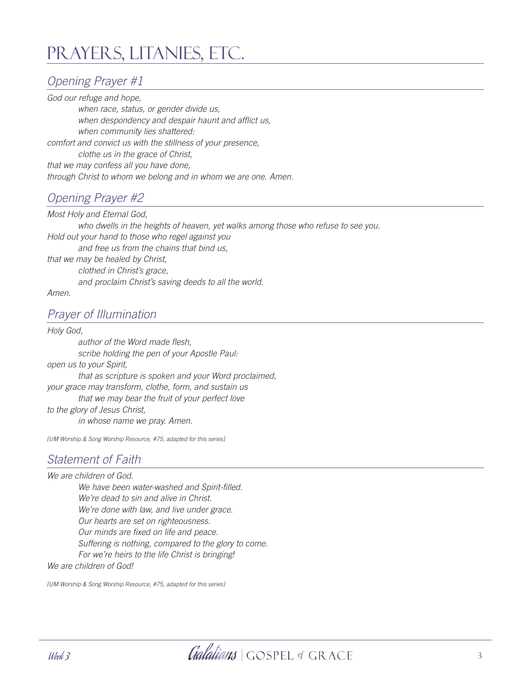# Prayers, Litanies, etc.

## *Opening Prayer #1*

*God our refuge and hope, when race, status, or gender divide us, when despondency and despair haunt and afflict us, when community lies shattered: comfort and convict us with the stillness of your presence, clothe us in the grace of Christ, that we may confess all you have done, through Christ to whom we belong and in whom we are one. Amen.*

## *Opening Prayer #2*

*Most Holy and Eternal God, who dwells in the heights of heaven, yet walks among those who refuse to see you. Hold out your hand to those who regel against you and free us from the chains that bind us, that we may be healed by Christ, clothed in Christ's grace, and proclaim Christ's saving deeds to all the world. Amen.* 

### *Prayer of Illumination*

*Holy God, author of the Word made flesh, scribe holding the pen of your Apostle Paul: open us to your Spirit, that as scripture is spoken and your Word proclaimed, your grace may transform, clothe, form, and sustain us that we may bear the fruit of your perfect love to the glory of Jesus Christ, in whose name we pray. Amen.*

*[UM Worship & Song Worship Resource, #75, adapted for this series]*

### *Statement of Faith*

*We are children of God. We have been water-washed and Spirit-filled. We're dead to sin and alive in Christ. We're done with law, and live under grace. Our hearts are set on righteousness. Our minds are fixed on life and peace. Suffering is nothing, compared to the glory to come. For we're heirs to the life Christ is bringing!*

*We are children of God!*

*[UM Worship & Song Worship Resource, #75, adapted for this series]*

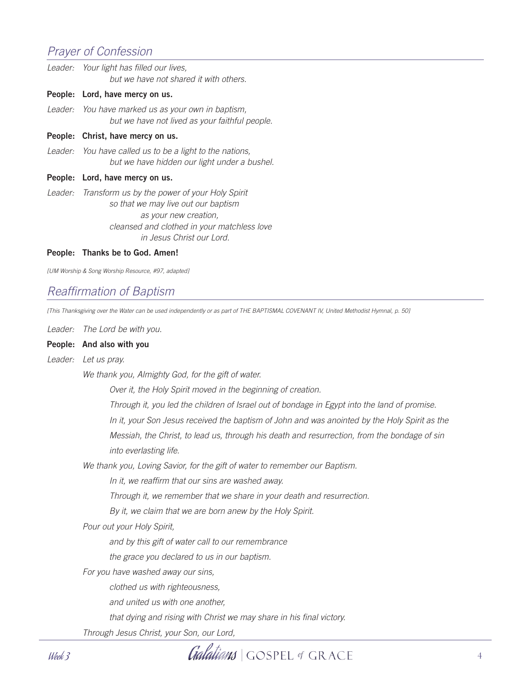### *Prayer of Confession*

| Leader: | Your light has filled our lives,<br>but we have not shared it with others.                                                                                                                        |
|---------|---------------------------------------------------------------------------------------------------------------------------------------------------------------------------------------------------|
|         | People: Lord, have mercy on us.                                                                                                                                                                   |
|         | Leader: You have marked us as your own in baptism,<br>but we have not lived as your faithful people.                                                                                              |
|         | People: Christ, have mercy on us.                                                                                                                                                                 |
|         | Leader: You have called us to be a light to the nations,<br>but we have hidden our light under a bushel.                                                                                          |
|         | People: Lord, have mercy on us.                                                                                                                                                                   |
|         | Leader: Transform us by the power of your Holy Spirit<br>so that we may live out our baptism<br>as your new creation,<br>cleansed and clothed in your matchless love<br>in Jesus Christ our Lord. |

#### People: Thanks be to God. Amen!

*[UM Worship & Song Worship Resource, #97, adapted]*

### *Reaffirmation of Baptism*

*[This Thanksgiving over the Water can be used independently or as part of THE BAPTISMAL COVENANT IV, United Methodist Hymnal, p. 50]*

*Leader: The Lord be with you.*

#### People: And also with you

#### *Leader: Let us pray.*

*We thank you, Almighty God, for the gift of water.* 

 *Over it, the Holy Spirit moved in the beginning of creation.* 

 *Through it, you led the children of Israel out of bondage in Egypt into the land of promise.* 

 *In it, your Son Jesus received the baptism of John and was anointed by the Holy Spirit as the* 

 *Messiah, the Christ, to lead us, through his death and resurrection, from the bondage of sin into everlasting life.*

*We thank you, Loving Savior, for the gift of water to remember our Baptism.* 

 *In it, we reaffirm that our sins are washed away.* 

 *Through it, we remember that we share in your death and resurrection.* 

 *By it, we claim that we are born anew by the Holy Spirit.*

*Pour out your Holy Spirit,*

 *and by this gift of water call to our remembrance*

 *the grace you declared to us in our baptism.*

*For you have washed away our sins,*

 *clothed us with righteousness,*

 *and united us with one another,*

 *that dying and rising with Christ we may share in his final victory.*

*Through Jesus Christ, your Son, our Lord,* 

Week 3 4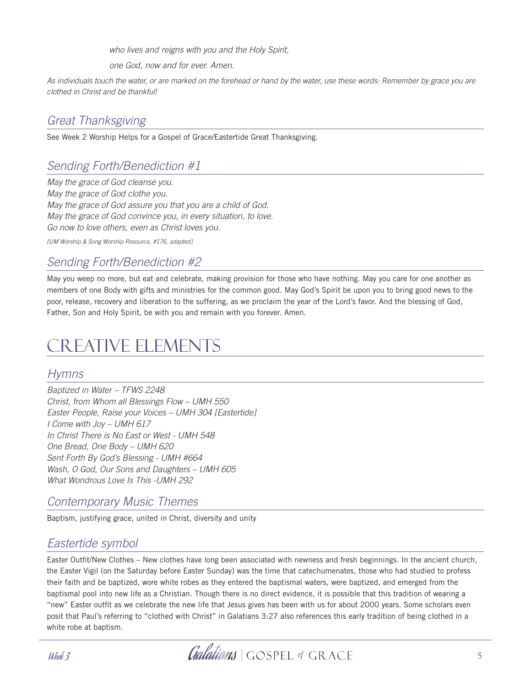*who lives and reigns with you and the Holy Spirit,* 

 *one God, now and for ever. Amen.*

*As individuals touch the water, or are marked on the forehead or hand by the water, use these words: Remember by grace you are clothed in Christ and be thankful!*

### *Great Thanksgiving*

See Week 2 Worship Helps for a Gospel of Grace/Eastertide Great Thanksgiving.

## *Sending Forth/Benediction #1*

*May the grace of God cleanse you. May the grace of God clothe you. May the grace of God assure you that you are a child of God. May the grace of God convince you, in every situation, to love. Go now to love others, even as Christ loves you.*

*[UM Worship & Song Worship Resource, #176, adapted]*

### *Sending Forth/Benediction #2*

May you weep no more, but eat and celebrate, making provision for those who have nothing. May you care for one another as members of one Body with gifts and ministries for the common good. May God's Spirit be upon you to bring good news to the poor, release, recovery and liberation to the suffering, as we proclaim the year of the Lord's favor. And the blessing of God, Father, Son and Holy Spirit, be with you and remain with you forever. Amen.

# Creative Elements

#### *Hymns*

*Baptized in Water – TFWS 2248 Christ, from Whom all Blessings Flow – UMH 550 Easter People, Raise your Voices – UMH 304 [Eastertide] I Come with Joy – UMH 617 In Christ There is No East or West - UMH 548 One Bread, One Body – UMH 620 Sent Forth By God's Blessing - UMH #664 Wash, O God, Our Sons and Daughters – UMH 605 What Wondrous Love Is This -UMH 292* 

### *Contemporary Music Themes*

Baptism, justifying grace, united in Christ, diversity and unity

#### *Eastertide symbol*

Easter Outfit/New Clothes – New clothes have long been associated with newness and fresh beginnings. In the ancient church, the Easter Vigil (on the Saturday before Easter Sunday) was the time that catechumenates, those who had studied to profess their faith and be baptized, wore white robes as they entered the baptismal waters, were baptized, and emerged from the baptismal pool into new life as a Christian. Though there is no direct evidence, it is possible that this tradition of wearing a "new" Easter outfit as we celebrate the new life that Jesus gives has been with us for about 2000 years. Some scholars even posit that Paul's referring to "clothed with Christ" in Galatians 3:27 also references this early tradition of being clothed in a white robe at baptism.